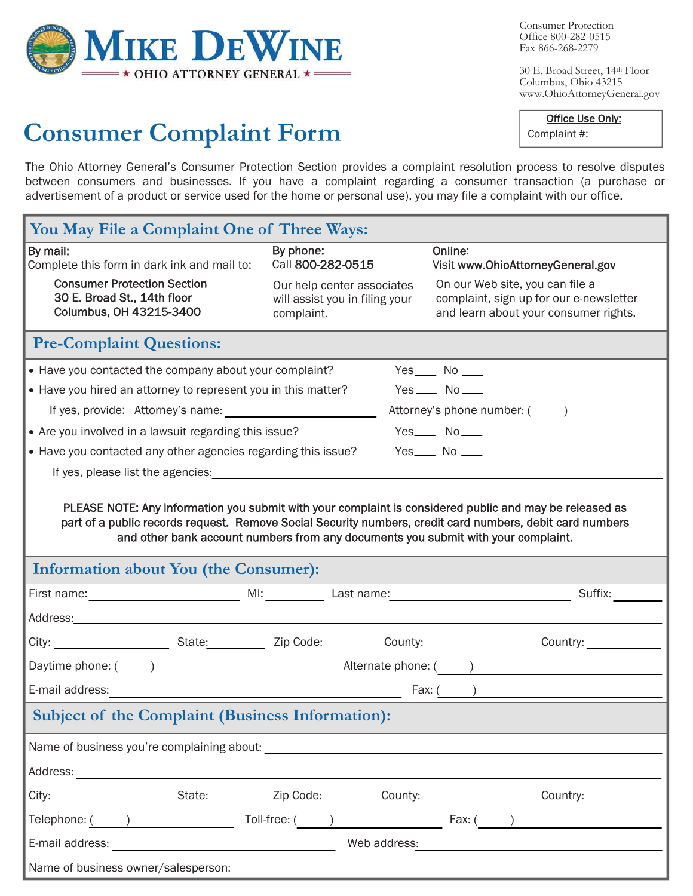

Consumer Protection Office 800-282-0515 Fax 866-268-2279

Complaint #:

30 E. Broad Street, 14th Floor Columbus, Ohio 43215 www.OhioAttorneyGeneral.gov

Office Use Only:

## **Consumer Complaint Form**

The Ohio Attorney General's Consumer Protection Section provides a complaint resolution process to resolve disputes between consumers and businesses. If you have a complaint regarding a consumer transaction (a purchase or advertisement of a product or service used for the home or personal use), you may file a complaint with our office.

| You May File a Complaint One of Three Ways:                                                                                                                                                                                                                                                                  |                                                                                  |                                                                                                                                                                                                                                                                            |  |  |  |  |  |  |  |
|--------------------------------------------------------------------------------------------------------------------------------------------------------------------------------------------------------------------------------------------------------------------------------------------------------------|----------------------------------------------------------------------------------|----------------------------------------------------------------------------------------------------------------------------------------------------------------------------------------------------------------------------------------------------------------------------|--|--|--|--|--|--|--|
| By mail:<br>Complete this form in dark ink and mail to:                                                                                                                                                                                                                                                      | By phone:<br>Call 800-282-0515                                                   | Online:<br>Visit www.OhioAttorneyGeneral.gov                                                                                                                                                                                                                               |  |  |  |  |  |  |  |
| <b>Consumer Protection Section</b><br>30 E. Broad St., 14th floor<br>Columbus, OH 43215-3400                                                                                                                                                                                                                 | Our help center associates<br>will assist you in filing your<br>complaint.       | On our Web site, you can file a<br>complaint, sign up for our e-newsletter<br>and learn about your consumer rights.                                                                                                                                                        |  |  |  |  |  |  |  |
| <b>Pre-Complaint Questions:</b>                                                                                                                                                                                                                                                                              |                                                                                  |                                                                                                                                                                                                                                                                            |  |  |  |  |  |  |  |
| • Have you contacted the company about your complaint?<br>$Yes$ No _____                                                                                                                                                                                                                                     |                                                                                  |                                                                                                                                                                                                                                                                            |  |  |  |  |  |  |  |
|                                                                                                                                                                                                                                                                                                              | $Yes$ No $\_\_$<br>• Have you hired an attorney to represent you in this matter? |                                                                                                                                                                                                                                                                            |  |  |  |  |  |  |  |
| If yes, provide: Attorney's name:                                                                                                                                                                                                                                                                            |                                                                                  | Attorney's phone number: ( )                                                                                                                                                                                                                                               |  |  |  |  |  |  |  |
| • Are you involved in a lawsuit regarding this issue?                                                                                                                                                                                                                                                        |                                                                                  | $Yes$ No $\_\_$                                                                                                                                                                                                                                                            |  |  |  |  |  |  |  |
| • Have you contacted any other agencies regarding this issue?                                                                                                                                                                                                                                                |                                                                                  | $Yes$ No $\_\_$                                                                                                                                                                                                                                                            |  |  |  |  |  |  |  |
| If yes, please list the agencies: If yes, please list the agencies:                                                                                                                                                                                                                                          |                                                                                  |                                                                                                                                                                                                                                                                            |  |  |  |  |  |  |  |
| <b>Information about You (the Consumer):</b><br>Suffix:                                                                                                                                                                                                                                                      |                                                                                  |                                                                                                                                                                                                                                                                            |  |  |  |  |  |  |  |
| Address: Note and the second contract of the second contract of the second contract of the second contract of the second contract of the second contract of the second contract of the second contract of the second contract                                                                                |                                                                                  |                                                                                                                                                                                                                                                                            |  |  |  |  |  |  |  |
|                                                                                                                                                                                                                                                                                                              |                                                                                  |                                                                                                                                                                                                                                                                            |  |  |  |  |  |  |  |
| Daytime phone: ( ) and a set of a set of a set of a set of a set of a set of a set of a set of a set of a set of $\overline{a}$ and $\overline{b}$ and $\overline{b}$ and $\overline{b}$ and $\overline{b}$ and $\overline{b}$ and $\overline{b}$ and $\overline{b}$ and $\overline{$                        |                                                                                  |                                                                                                                                                                                                                                                                            |  |  |  |  |  |  |  |
| E-mail address:<br>$\frac{1}{2}$ Fax: $\frac{1}{2}$ Fax: $\frac{1}{2}$ Fax: $\frac{1}{2}$ Fax: $\frac{1}{2}$ Fax: $\frac{1}{2}$ Fax: $\frac{1}{2}$ Fax: $\frac{1}{2}$ Fax: $\frac{1}{2}$ Fax: $\frac{1}{2}$ Fax: $\frac{1}{2}$ Fax: $\frac{1}{2}$ Fax: $\frac{1}{2}$ Fax: $\frac{1}{2}$ Fax: $\frac{1}{2}$ F |                                                                                  |                                                                                                                                                                                                                                                                            |  |  |  |  |  |  |  |
|                                                                                                                                                                                                                                                                                                              |                                                                                  |                                                                                                                                                                                                                                                                            |  |  |  |  |  |  |  |
| <b>Subject of the Complaint (Business Information):</b>                                                                                                                                                                                                                                                      |                                                                                  |                                                                                                                                                                                                                                                                            |  |  |  |  |  |  |  |
|                                                                                                                                                                                                                                                                                                              |                                                                                  |                                                                                                                                                                                                                                                                            |  |  |  |  |  |  |  |
|                                                                                                                                                                                                                                                                                                              |                                                                                  |                                                                                                                                                                                                                                                                            |  |  |  |  |  |  |  |
|                                                                                                                                                                                                                                                                                                              |                                                                                  |                                                                                                                                                                                                                                                                            |  |  |  |  |  |  |  |
|                                                                                                                                                                                                                                                                                                              |                                                                                  |                                                                                                                                                                                                                                                                            |  |  |  |  |  |  |  |
|                                                                                                                                                                                                                                                                                                              |                                                                                  | Telephone: $\frac{1}{1}$ 2014 $\frac{1}{1}$ 70ll-free: $\frac{1}{1}$ 70ll-free: $\frac{1}{1}$ 70ll-free: $\frac{1}{1}$ 70ll-free: $\frac{1}{1}$ 70ll-free: $\frac{1}{1}$ 70ll-free: $\frac{1}{1}$ 70ll-free: $\frac{1}{1}$ 70ll-free: $\frac{1}{1}$ 70ll-free: $\frac{1}{$ |  |  |  |  |  |  |  |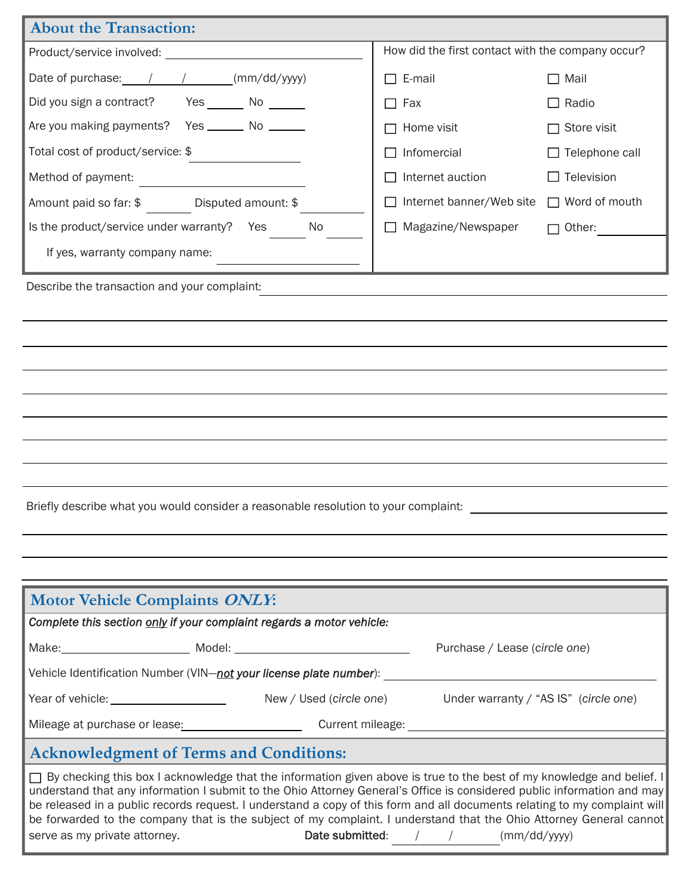| <b>About the Transaction:</b>                                                                                                                                                                                                                                                                                                                                                                                                                                                                                                                                                       |                                                   |                         |  |  |  |  |  |
|-------------------------------------------------------------------------------------------------------------------------------------------------------------------------------------------------------------------------------------------------------------------------------------------------------------------------------------------------------------------------------------------------------------------------------------------------------------------------------------------------------------------------------------------------------------------------------------|---------------------------------------------------|-------------------------|--|--|--|--|--|
|                                                                                                                                                                                                                                                                                                                                                                                                                                                                                                                                                                                     | How did the first contact with the company occur? |                         |  |  |  |  |  |
| Date of purchase: / / / / (mm/dd/yyyy)                                                                                                                                                                                                                                                                                                                                                                                                                                                                                                                                              | $\Box$ E-mail                                     | $\Box$ Mail             |  |  |  |  |  |
| Did you sign a contract? Yes _______ No ______                                                                                                                                                                                                                                                                                                                                                                                                                                                                                                                                      | $\Box$ Fax                                        | $\Box$ Radio            |  |  |  |  |  |
| Are you making payments?  Yes _______ No ______                                                                                                                                                                                                                                                                                                                                                                                                                                                                                                                                     | Home visit                                        | $\sqsupset$ Store visit |  |  |  |  |  |
| Total cost of product/service: \$                                                                                                                                                                                                                                                                                                                                                                                                                                                                                                                                                   | Infomercial                                       | $\Box$ Telephone call   |  |  |  |  |  |
| Method of payment:                                                                                                                                                                                                                                                                                                                                                                                                                                                                                                                                                                  | Internet auction                                  | Television              |  |  |  |  |  |
| Amount paid so far: \$ Disputed amount: \$                                                                                                                                                                                                                                                                                                                                                                                                                                                                                                                                          | Internet banner/Web site                          | $\Box$ Word of mouth    |  |  |  |  |  |
| Is the product/service under warranty? Yes<br>No                                                                                                                                                                                                                                                                                                                                                                                                                                                                                                                                    | $\Box$ Magazine/Newspaper                         | $\Box$ Other:           |  |  |  |  |  |
| If yes, warranty company name:                                                                                                                                                                                                                                                                                                                                                                                                                                                                                                                                                      |                                                   |                         |  |  |  |  |  |
| Describe the transaction and your complaint:                                                                                                                                                                                                                                                                                                                                                                                                                                                                                                                                        |                                                   |                         |  |  |  |  |  |
|                                                                                                                                                                                                                                                                                                                                                                                                                                                                                                                                                                                     |                                                   |                         |  |  |  |  |  |
|                                                                                                                                                                                                                                                                                                                                                                                                                                                                                                                                                                                     |                                                   |                         |  |  |  |  |  |
|                                                                                                                                                                                                                                                                                                                                                                                                                                                                                                                                                                                     |                                                   |                         |  |  |  |  |  |
|                                                                                                                                                                                                                                                                                                                                                                                                                                                                                                                                                                                     |                                                   |                         |  |  |  |  |  |
|                                                                                                                                                                                                                                                                                                                                                                                                                                                                                                                                                                                     |                                                   |                         |  |  |  |  |  |
|                                                                                                                                                                                                                                                                                                                                                                                                                                                                                                                                                                                     |                                                   |                         |  |  |  |  |  |
|                                                                                                                                                                                                                                                                                                                                                                                                                                                                                                                                                                                     |                                                   |                         |  |  |  |  |  |
|                                                                                                                                                                                                                                                                                                                                                                                                                                                                                                                                                                                     |                                                   |                         |  |  |  |  |  |
| Briefly describe what you would consider a reasonable resolution to your complaint:                                                                                                                                                                                                                                                                                                                                                                                                                                                                                                 |                                                   |                         |  |  |  |  |  |
|                                                                                                                                                                                                                                                                                                                                                                                                                                                                                                                                                                                     |                                                   |                         |  |  |  |  |  |
|                                                                                                                                                                                                                                                                                                                                                                                                                                                                                                                                                                                     |                                                   |                         |  |  |  |  |  |
|                                                                                                                                                                                                                                                                                                                                                                                                                                                                                                                                                                                     |                                                   |                         |  |  |  |  |  |
| <b>Motor Vehicle Complaints ONLY:</b><br>Complete this section only if your complaint regards a motor vehicle:                                                                                                                                                                                                                                                                                                                                                                                                                                                                      |                                                   |                         |  |  |  |  |  |
|                                                                                                                                                                                                                                                                                                                                                                                                                                                                                                                                                                                     |                                                   |                         |  |  |  |  |  |
| Purchase / Lease (circle one)<br>Vehicle Identification Number (VIN-not your license plate number):                                                                                                                                                                                                                                                                                                                                                                                                                                                                                 |                                                   |                         |  |  |  |  |  |
| Year of vehicle: ______________________<br>New / Used (circle one)<br>Under warranty / "AS IS" (circle one)                                                                                                                                                                                                                                                                                                                                                                                                                                                                         |                                                   |                         |  |  |  |  |  |
|                                                                                                                                                                                                                                                                                                                                                                                                                                                                                                                                                                                     |                                                   |                         |  |  |  |  |  |
| <b>Acknowledgment of Terms and Conditions:</b>                                                                                                                                                                                                                                                                                                                                                                                                                                                                                                                                      |                                                   |                         |  |  |  |  |  |
| $\Box$ By checking this box I acknowledge that the information given above is true to the best of my knowledge and belief. I<br>understand that any information I submit to the Ohio Attorney General's Office is considered public information and may<br>be released in a public records request. I understand a copy of this form and all documents relating to my complaint will<br>be forwarded to the company that is the subject of my complaint. I understand that the Ohio Attorney General cannot<br>Date submitted: / /<br>(mm/dd/yyyy)<br>serve as my private attorney. |                                                   |                         |  |  |  |  |  |